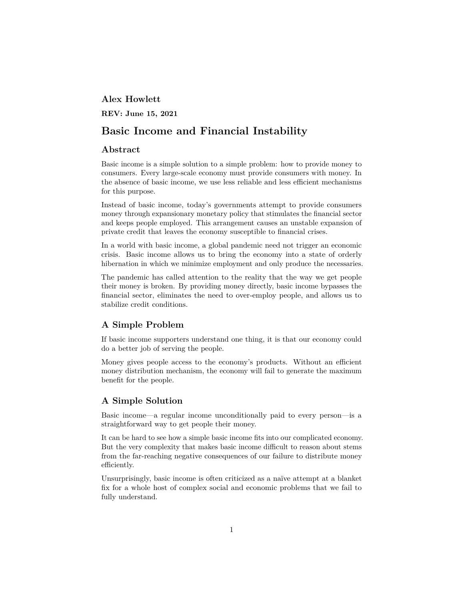### **Alex Howlett**

**REV: June 15, 2021**

# **Basic Income and Financial Instability**

### **Abstract**

Basic income is a simple solution to a simple problem: how to provide money to consumers. Every large-scale economy must provide consumers with money. In the absence of basic income, we use less reliable and less efficient mechanisms for this purpose.

Instead of basic income, today's governments attempt to provide consumers money through expansionary monetary policy that stimulates the financial sector and keeps people employed. This arrangement causes an unstable expansion of private credit that leaves the economy susceptible to financial crises.

In a world with basic income, a global pandemic need not trigger an economic crisis. Basic income allows us to bring the economy into a state of orderly hibernation in which we minimize employment and only produce the necessaries.

The pandemic has called attention to the reality that the way we get people their money is broken. By providing money directly, basic income bypasses the financial sector, eliminates the need to over-employ people, and allows us to stabilize credit conditions.

# **A Simple Problem**

If basic income supporters understand one thing, it is that our economy could do a better job of serving the people.

Money gives people access to the economy's products. Without an efficient money distribution mechanism, the economy will fail to generate the maximum benefit for the people.

#### **A Simple Solution**

Basic income—a regular income unconditionally paid to every person—is a straightforward way to get people their money.

It can be hard to see how a simple basic income fits into our complicated economy. But the very complexity that makes basic income difficult to reason about stems from the far-reaching negative consequences of our failure to distribute money efficiently.

Unsurprisingly, basic income is often criticized as a naïve attempt at a blanket fix for a whole host of complex social and economic problems that we fail to fully understand.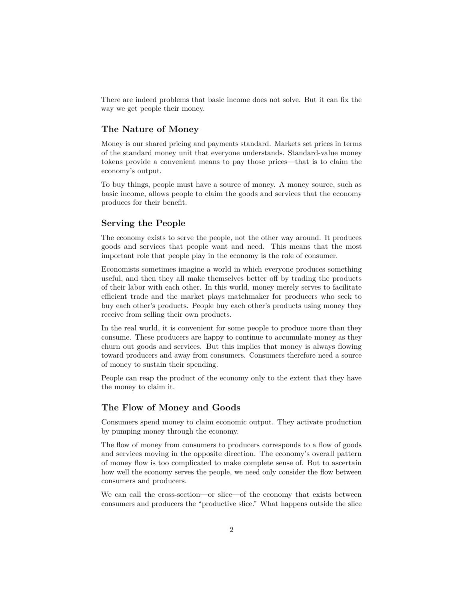There are indeed problems that basic income does not solve. But it can fix the way we get people their money.

#### **The Nature of Money**

Money is our shared pricing and payments standard. Markets set prices in terms of the standard money unit that everyone understands. Standard-value money tokens provide a convenient means to pay those prices—that is to claim the economy's output.

To buy things, people must have a source of money. A money source, such as basic income, allows people to claim the goods and services that the economy produces for their benefit.

#### **Serving the People**

The economy exists to serve the people, not the other way around. It produces goods and services that people want and need. This means that the most important role that people play in the economy is the role of consumer.

Economists sometimes imagine a world in which everyone produces something useful, and then they all make themselves better off by trading the products of their labor with each other. In this world, money merely serves to facilitate efficient trade and the market plays matchmaker for producers who seek to buy each other's products. People buy each other's products using money they receive from selling their own products.

In the real world, it is convenient for some people to produce more than they consume. These producers are happy to continue to accumulate money as they churn out goods and services. But this implies that money is always flowing toward producers and away from consumers. Consumers therefore need a source of money to sustain their spending.

People can reap the product of the economy only to the extent that they have the money to claim it.

# **The Flow of Money and Goods**

Consumers spend money to claim economic output. They activate production by pumping money through the economy.

The flow of money from consumers to producers corresponds to a flow of goods and services moving in the opposite direction. The economy's overall pattern of money flow is too complicated to make complete sense of. But to ascertain how well the economy serves the people, we need only consider the flow between consumers and producers.

We can call the cross-section—or slice—of the economy that exists between consumers and producers the "productive slice." What happens outside the slice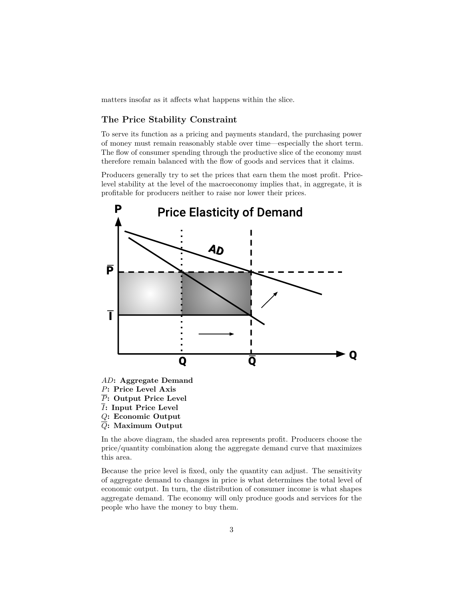matters insofar as it affects what happens within the slice.

#### **The Price Stability Constraint**

To serve its function as a pricing and payments standard, the purchasing power of money must remain reasonably stable over time—especially the short term. The flow of consumer spending through the productive slice of the economy must therefore remain balanced with the flow of goods and services that it claims.

Producers generally try to set the prices that earn them the most profit. Pricelevel stability at the level of the macroeconomy implies that, in aggregate, it is profitable for producers neither to raise nor lower their prices.



- *I***: Input Price Level**
- 
- *Q***: Economic Output**
- *Q***: Maximum Output**

In the above diagram, the shaded area represents profit. Producers choose the price/quantity combination along the aggregate demand curve that maximizes this area.

Because the price level is fixed, only the quantity can adjust. The sensitivity of aggregate demand to changes in price is what determines the total level of economic output. In turn, the distribution of consumer income is what shapes aggregate demand. The economy will only produce goods and services for the people who have the money to buy them.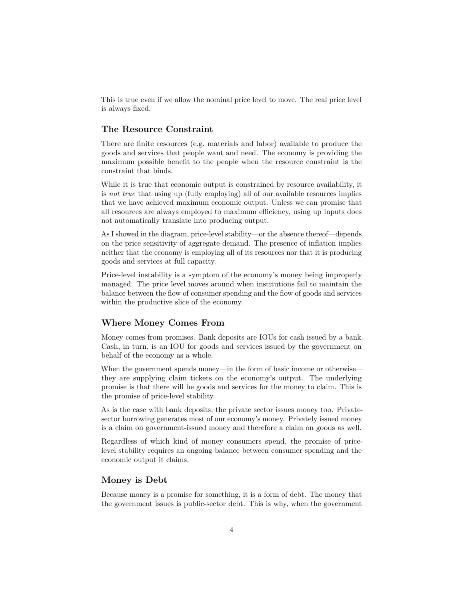This is true even if we allow the nominal price level to move. The real price level is always fixed.

#### **The Resource Constraint**

There are finite resources (e.g. materials and labor) available to produce the goods and services that people want and need. The economy is providing the maximum possible benefit to the people when the resource constraint is the constraint that binds.

While it is true that economic output is constrained by resource availability, it is *not true* that using up (fully employing) all of our available resources implies that we have achieved maximum economic output. Unless we can promise that all resources are always employed to maximum efficiency, using up inputs does not automatically translate into producing output.

As I showed in the diagram, price-level stability—or the absence thereof—depends on the price sensitivity of aggregate demand. The presence of inflation implies neither that the economy is employing all of its resources nor that it is producing goods and services at full capacity.

Price-level instability is a symptom of the economy's money being improperly managed. The price level moves around when institutions fail to maintain the balance between the flow of consumer spending and the flow of goods and services within the productive slice of the economy.

#### **Where Money Comes From**

Money comes from promises. Bank deposits are IOUs for cash issued by a bank. Cash, in turn, is an IOU for goods and services issued by the government on behalf of the economy as a whole.

When the government spends money—in the form of basic income or otherwise they are supplying claim tickets on the economy's output. The underlying promise is that there will be goods and services for the money to claim. This is the promise of price-level stability.

As is the case with bank deposits, the private sector issues money too. Privatesector borrowing generates most of our economy's money. Privately issued money is a claim on government-issued money and therefore a claim on goods as well.

Regardless of which kind of money consumers spend, the promise of pricelevel stability requires an ongoing balance between consumer spending and the economic output it claims.

#### **Money is Debt**

Because money is a promise for something, it is a form of debt. The money that the government issues is public-sector debt. This is why, when the government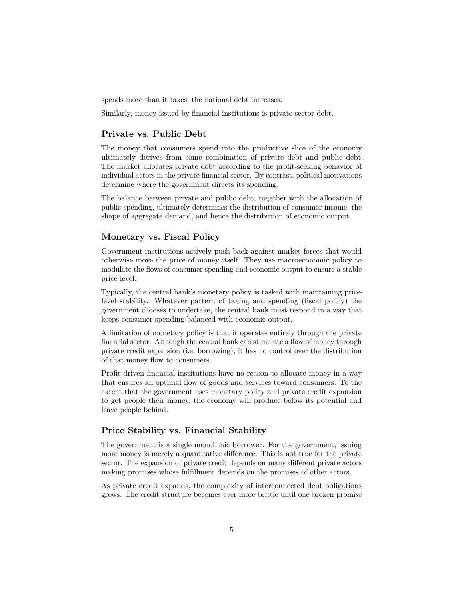spends more than it taxes, the national debt increases.

Similarly, money issued by financial institutions is private-sector debt.

# **Private vs. Public Debt**

The money that consumers spend into the productive slice of the economy ultimately derives from some combination of private debt and public debt. The market allocates private debt according to the profit-seeking behavior of individual actors in the private financial sector. By contrast, political motivations determine where the government directs its spending.

The balance between private and public debt, together with the allocation of public spending, ultimately determines the distribution of consumer income, the shape of aggregate demand, and hence the distribution of economic output.

# **Monetary vs. Fiscal Policy**

Government institutions actively push back against market forces that would otherwise move the price of money itself. They use macroeconomic policy to modulate the flows of consumer spending and economic output to ensure a stable price level.

Typically, the central bank's monetary policy is tasked with maintaining pricelevel stability. Whatever pattern of taxing and spending (fiscal policy) the government chooses to undertake, the central bank must respond in a way that keeps consumer spending balanced with economic output.

A limitation of monetary policy is that it operates entirely through the private financial sector. Although the central bank can stimulate a flow of money through private credit expansion (i.e. borrowing), it has no control over the distribution of that money flow to consumers.

Profit-driven financial institutions have no reason to allocate money in a way that ensures an optimal flow of goods and services toward consumers. To the extent that the government uses monetary policy and private credit expansion to get people their money, the economy will produce below its potential and leave people behind.

# **Price Stability vs. Financial Stability**

The government is a single monolithic borrower. For the government, issuing more money is merely a quantitative difference. This is not true for the private sector. The expansion of private credit depends on many different private actors making promises whose fulfillment depends on the promises of other actors.

As private credit expands, the complexity of interconnected debt obligations grows. The credit structure becomes ever more brittle until one broken promise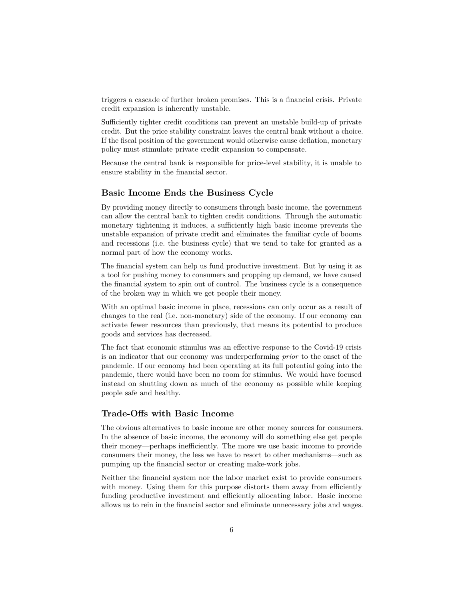triggers a cascade of further broken promises. This is a financial crisis. Private credit expansion is inherently unstable.

Sufficiently tighter credit conditions can prevent an unstable build-up of private credit. But the price stability constraint leaves the central bank without a choice. If the fiscal position of the government would otherwise cause deflation, monetary policy must stimulate private credit expansion to compensate.

Because the central bank is responsible for price-level stability, it is unable to ensure stability in the financial sector.

#### **Basic Income Ends the Business Cycle**

By providing money directly to consumers through basic income, the government can allow the central bank to tighten credit conditions. Through the automatic monetary tightening it induces, a sufficiently high basic income prevents the unstable expansion of private credit and eliminates the familiar cycle of booms and recessions (i.e. the business cycle) that we tend to take for granted as a normal part of how the economy works.

The financial system can help us fund productive investment. But by using it as a tool for pushing money to consumers and propping up demand, we have caused the financial system to spin out of control. The business cycle is a consequence of the broken way in which we get people their money.

With an optimal basic income in place, recessions can only occur as a result of changes to the real (i.e. non-monetary) side of the economy. If our economy can activate fewer resources than previously, that means its potential to produce goods and services has decreased.

The fact that economic stimulus was an effective response to the Covid-19 crisis is an indicator that our economy was underperforming *prior* to the onset of the pandemic. If our economy had been operating at its full potential going into the pandemic, there would have been no room for stimulus. We would have focused instead on shutting down as much of the economy as possible while keeping people safe and healthy.

#### **Trade-Offs with Basic Income**

The obvious alternatives to basic income are other money sources for consumers. In the absence of basic income, the economy will do something else get people their money—perhaps inefficiently. The more we use basic income to provide consumers their money, the less we have to resort to other mechanisms—such as pumping up the financial sector or creating make-work jobs.

Neither the financial system nor the labor market exist to provide consumers with money. Using them for this purpose distorts them away from efficiently funding productive investment and efficiently allocating labor. Basic income allows us to rein in the financial sector and eliminate unnecessary jobs and wages.